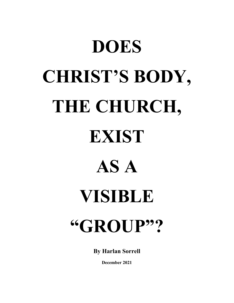# **DOES CHRIST'S BODY, THE CHURCH, EXIST AS A VISIBLE "GROUP"?**

**By Harlan Sorrell**

**December 2021**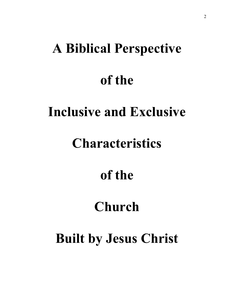# **A Biblical Perspective of the**

## **Inclusive and Exclusive**

# **Characteristics**

## **of the**

## **Church**

## **Built by Jesus Christ**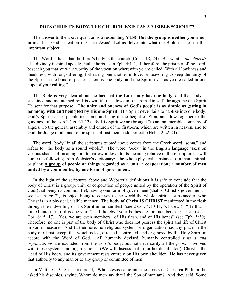#### 3

#### **DOES CHRIST'S BODY, THE CHURCH, EXIST AS A VISIBLE "GROUP"?**

 The answer to the above question is a resounding **YES! But the group is neither yours nor mine.** It is God's creation in Christ Jesus! Let us delve into what the Bible teaches on this important subject.

 The Word tells us that the Lord's body is the church (Col. 1:18, 24). But what is *the church*? The divinely inspired apostle Paul exhorts us in Eph. 4:1-4, "I therefore, the prisoner of the Lord, beseech you that ye walk worthy of the vocation wherewith ye are called, With all lowliness and meekness, with longsuffering, forbearing one another in love; Endeavoring to keep the unity of the Spirit in the bond of peace. There is one body, and one Spirit, even as ye are called in one hope of your calling."

 The Bible is very clear about the fact that **the Lord only has one body**, and that body is sustained and maintained by His own life that flows into it from Himself, through the one Spirit He sent for that purpose. **The unity and oneness of God's people is as simple as getting in harmony with and being led by His one Spirit**. His Spirit never fails to baptize into one body. God's Spirit causes people to "come and sing in the height of Zion, and flow together to the goodness of the Lord" (Jer. 31:12). By His Spirit we are brought "to an innumerable company of angels, To the general assembly and church of the firstborn, which are written in heaven, and to God the Judge of all, and to the spirits of just men made perfect" (Heb. 12:22-23).

 The word "body" in all the scriptures quoted above comes from the Greek word "soma," and refers to "the body as a sound whole." The word "body" in the English language takes on various shades of meaning, but to narrow it down to its meaning relative to these scriptures I will quote the following from Webster's dictionary: "the whole physical substance of a man, animal, or plant; **a group of people or things regarded as a unit; a corporation; a number of men united by a common tie, by one form of government**."

 In the light of the scriptures above and Webster's definitions it is safe to conclude that the body of Christ is a group, unit, or corporation of people united by the operation of the Spirit of God (that being its common tie), having one form of government (that is, Christ's government – see Isaiah 9:6-7), its object being to convey to the world the whole spiritual substance of who Christ is in a physical, visible manner. The **body of Christ IS CHRIST** manifested in the flesh through the indwelling of His Spirit in human flesh (see 2 Cor. 4:10-11; 6:16, etc.). "He that is joined unto the Lord is one spirit" and thereby "your bodies are the members of Christ" (see 1 Cor. 6:15, 17). Yes, we are even members "of His flesh, and of His bones" (see Eph. 5:30). Therefore, no one is part of the body of Christ who does not possess the spirit and life of Christ in some measure. And furthermore, no religious system or organization has any place in the body of Christ except that which is led, directed, controlled, and organized by the Holy Spirit in accord with the Word of God. All humanly devised, humanly controlled *systems and organizations* are excluded from the Lord's body, but not necessarily all the *people* involved with those systems and organizations. (We will discuss that in further detail later.) Christ is the Head of His body, and its government rests entirely on His own shoulder. He has never given that authority to any man or to any group or committee of men.

 In Matt. 16:13-18 it is recorded, "When Jesus came into the coasts of Caesarea Philippi, he asked his disciples, saying, Whom do men say that I the Son of man am? And they said, Some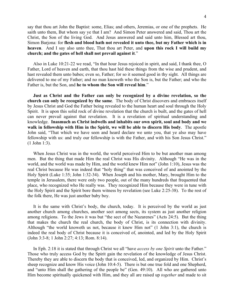say that thou art John the Baptist: some, Elias; and others, Jeremias, or one of the prophets. He saith unto them, But whom say ye that I am? And Simon Peter answered and said, Thou art the Christ, the Son of the living God. And Jesus answered and said unto him, Blessed art thou, Simon Barjona: for **flesh and blood hath not revealed it unto thee, but my Father which is in heaven**. And I say also unto thee, That thou art Peter, and **upon this rock I will build my church; and the gates of hell shall not prevail against it**."

 Also in Luke 10:21-22 we read, "In that hour Jesus rejoiced in spirit, and said, I thank thee, O Father, Lord of heaven and earth, that thou hast hid these things from the wise and prudent, and hast revealed them unto babes; even so, Father; for so it seemed good in thy sight. All things are delivered to me of my Father; and no man knoweth who the Son is, but the Father; and who the Father is, but the Son, and **he to whom the Son will reveal him**."

 **Just as Christ and the Father can only be recognized by a divine revelation, so the church can only be recognized by the same**. The body of Christ discovers and embraces itself by Jesus Christ and God the Father being revealed to the human heart and soul through the Holy Spirit. It is upon this solid rock of divine revelation that the church is built, and the gates of hell can never prevail against that revelation. It is a revelation of spiritual understanding and knowledge. **Inasmuch as Christ indwells and inhabits our own spirit, soul and body and we walk in fellowship with Him in the Spirit, we will be able to discern His body**. The apostle John said, "That which we have seen and heard declare we unto you, that ye also may have fellowship with us: and truly our fellowship is with the Father, and with his Son Jesus Christ." (1 John 1:3).

 When Jesus Christ was in the world, the world perceived Him to be but another man among men. But the thing that made Him the real Christ was His divinity. Although "He was in the world, and the world was made by Him, and the world knew Him not" (John 1:10), Jesus was the real Christ because He was indeed that "holy thing" that was conceived of and anointed by the Holy Spirit (Luke 1:35; John 1:32-34). When Joseph and his mother, Mary, brought Him to the temple in Jerusalem, there were only two people, out of the many hundreds that frequented that place, who recognized who He really was. They recognized Him because they were in tune with the Holy Spirit and the Spirit bore them witness by revelation (see Luke 2:25-38). To the rest of the folk there, He was just another baby boy.

 It is the same with Christ's body, the church, today. It is perceived by the world as just another church among churches, another sect among sects, its system as just another religion among religions. To the Jews it was but "the sect of the Nazarenes" (Acts 24:5). But the thing that makes the church the real church, the body of Christ, is its connection with divinity. Although "the world knoweth us not, because it knew Him not" (1 John 3:1), the church is indeed the real body of Christ because it is conceived of, anointed, and led by the Holy Spirit (John 3:3-8; 1 John 2:27; 4:13; Rom. 8:14).

 In Eph. 2:18 it is stated that through Christ we all "have *access by one Spirit* unto the Father." Those who truly access God by the Spirit gain the revelation of the knowledge of Jesus Christ. Thereby they are able to discern the body that is conceived, led, and organized by Him. Christ's sheep recognize and know His voice (John 10:4-5). There is but one true fold and one Shepherd, and "unto Him shall the gathering of the people be" (Gen. 49:10). All who are gathered unto Him become spiritually quickened with Him, and they all are raised up *together* and made to sit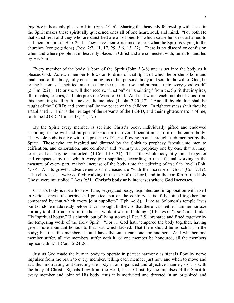*together* in heavenly places in Him (Eph. 2:1-6). Sharing this heavenly fellowship with Jesus in the Spirit makes these spiritually quickened ones all of one heart, soul, and mind. "For both He that sanctifieth and they who are sanctified are all of one: for which cause he is not ashamed to call them brethren." Heb. 2:11. They have their ears tuned to hear what the Spirit is saying to the churches (congregations) (Rev. 2:7, 11, 17, 29; 3:6, 13, 22). There is no discord or confusion when and where people sit in heavenly places in Christ and are connected with, tuned to, and led by His Spirit.

 Every member of the body is born of the Spirit (John 3:3-8) and is set into the body as it pleases God. As each member follows on to drink of that Spirit of which he or she is born and made part of the body, fully consecrating his or her personal body and soul to the will of God, he or she becomes "sanctified, and meet for the master's use, and prepared unto every good work" (2 Tim. 2:21). He or she will then receive "unction" or "anointing" from the Spirit that inspires, illuminates, teaches, and interprets the Word of God. And that which each member learns from this anointing is all truth – never a lie included (1 John 2:20, 27). "And all thy children shall be taught of the LORD; and great shall be the peace of thy children. In righteousness shalt thou be established … This is the heritage of the servants of the LORD, and their righteousness is of me, saith the LORD." Isa. 54:13,14a, 17b.

 By the Spirit every member is set into Christ's body, individually gifted and endowed according to the will and purpose of God for the overall benefit and profit of the entire body. The whole body is alive with the presence of Christ flowing in and through each member by the Spirit. Those who are inspired and directed by the Spirit to prophesy "speak unto men to edification, and exhortation, and comfort," and "ye may all prophesy one by one, that all may learn, and all may be comforted" (1 Cor. 14:3, 31). Thus "the whole body fitly joined together and compacted by that which every joint supplieth, according to the effectual working in the measure of every part, maketh increase of the body unto the edifying of itself in love" (Eph. 4:16). All its growth, advancements or increases are "with the increase of God" (Col. 2:19). "The churches … were edified; walking in the fear of the Lord, and in the comfort of the Holy Ghost, were multiplied." Acts 9:31. **Christ's body only increases where God increases**.

 Christ's body is not a loosely flung, segregated body, disjointed and in opposition with itself in various areas of doctrine and practice, but on the contrary, it is "fitly joined together and compacted by that which every joint supplieth" (Eph. 4:16). Like as Solomon's temple "was built of stone made ready before it was brought thither: so that there was neither hammer nor axe nor any tool of iron heard in the house, while it was in building" (1 Kings 6:7), so Christ builds His "spiritual house," His church, out of living stones (1 Pet. 2:5), prepared and fitted together by the tempering work of the Holy Spirit. "For … God hath tempered the body together, having given more abundant honour to that part which lacked: That there should be no schism in the body; but that the members should have the same care one for another. And whether one member suffer, all the members suffer with it; or one member be honoured, all the members rejoice with it." 1 Cor. 12:24-26.

 Just as God made the human body to operate in perfect harmony as signals flow by nerve impulses from the brain to every member, telling each member just how and when to move and act, thus motivating and directing the body in an organized and objective manner, so it is with the body of Christ. Signals flow from the Head, Jesus Christ, by the impulses of the Spirit to every member and joint of His body, thus it is motivated and directed in an organized and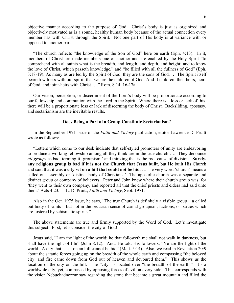objective manner according to the purpose of God. Christ's body is just as organized and objectively motivated as is a sound, healthy human body because of the actual connection every member has with Christ through the Spirit. Not one part of His body is at variance with or opposed to another part.

 "The church reflects "the knowledge of the Son of God" here on earth (Eph. 4:13). In it, members of Christ are made members one of another and are enabled by the Holy Spirit "to comprehend with all saints what is the breadth, and length, and depth, and height; and to know the love of Christ, which passeth knowledge," and "be filled with all the fullness of God" (Eph. 3:18-19). As many as are led by the Spirit of God, they are the sons of God. … The Spirit itself beareth witness with our spirit, that we are the children of God: And if children, then heirs; heirs of God, and joint-heirs with Christ …." Rom. 8:14, 16-17a.

 Our vision, perception, or discernment of the Lord's body will be proportionate according to our fellowship and communion with the Lord in the Spirit. Where there is a loss or lack of this, there will be a proportionate loss or lack of discerning the body of Christ. Backsliding, apostasy, and sectarianism are the inevitable results.

#### **Does Being a Part of a Group Constitute Sectarianism?**

 In the September 1971 issue of the *Faith and Victory* publication, editor Lawrence D. Pruitt wrote as follows:

 "Letters which come to our desk indicate that self-styled promoters of unity are endeavoring to produce a working fellowship among all they think are in the true church …. They denounce *all groups* as bad, terming it 'groupism,' and thinking that is the root cause of division. **Surely, any religious group is bad if it is not the Church that Jesus built**, but He built His Church and said that it was **a city set on a hill that could not be hid**. …The very word 'church' means a called-out assembly or 'distinct body of Christians.' The apostolic church was a separate and distinct group or company of believers. Peter and John knew where their church group was, for 'they went to their own company, and reported all that the chief priests and elders had said unto them.' Acts 4:23." – L. D. Pruitt, *Faith and Victory*, Sept. 1971.

 Also in the Oct. 1975 issue, he says, "The true Church is definitely a visible group – a called out body of saints – but not in the sectarian sense of carnal groupism, factions, or parties which are fostered by schismatic spirits."

 The above statements are true and firmly supported by the Word of God. Let's investigate this subject. First, let's consider the city of God!

 Jesus said, "I am the light of the world: he that followeth me shall not walk in darkness, but shall have the light of life" (John 8:12). And, He told His followers, "Ye are the light of the world. A city that is set on an hill cannot be hid" (Matt. 5:14). Also, we read in Revelation 20:9 about the satanic forces going up on the breadth of the whole earth and compassing "the beloved city: and fire came down from God out of heaven and devoured them." This shows us the location of the city on the hill. The "city" is located over "the breadth of the earth." It's a worldwide city, yet, compassed by opposing forces of evil on every side! This corresponds with the vision Nebuchadnezzar saw regarding the stone that became a great mountain and filled the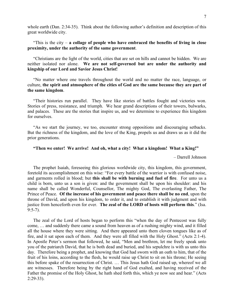whole earth (Dan. 2:34-35). Think about the following author's definition and description of this great worldwide city.

#### "This is the city – **a collage of people who have embraced the benefits of living in close proximity, under the authority of the same government**.

 "Christians are the light of the world, cities that are set on hills and cannot be hidden. We are neither isolated nor alone. **We are not self-governed but are under the authority and kingship of our Lord and Savior Jesus Christ!**

 "No matter where one travels throughout the world and no matter the race, language, or culture, **the spirit and atmosphere of the cities of God are the same because they are part of the same kingdom**.

 "Their histories run parallel. They have like stories of battles fought and victories won. Stories of press, resistance, and triumph. We hear grand descriptions of their towers, bulwarks, and palaces. These are the stories that inspire us, and we determine to experience this kingdom for ourselves.

 "As we start the journey, we too, encounter strong oppositions and discouraging setbacks. But the richness of the kingdom, and the love of the King, propels us and draws us as it did the prior generations.

#### **"Then we enter! We arrive! And oh, what a city! What a kingdom! What a King!"**

– Darrell Johnson

 The prophet Isaiah, foreseeing this glorious worldwide city, this kingdom, this government, foretold its accomplishment on this wise: "For every battle of the warrior is with confused noise, and garments rolled in blood; but **this shall be with burning and fuel of fire**. For unto us a child is born, unto us a son is given: and the government shall be upon his shoulder: and his name shall be called Wonderful, Counsellor, The mighty God, The everlasting Father, The Prince of Peace. **Of the increase of his government and peace there shall be no end**, upon the throne of David, and upon his kingdom, to order it, and to establish it with judgment and with justice from henceforth even for ever. **The zeal of the LORD of hosts will perform this**." (Isa. 9:5-7).

 The zeal of the Lord of hosts began to perform this "when the day of Pentecost was fully come, … and suddenly there came a sound from heaven as of a rushing mighty wind, and it filled all the house where they were sitting. And there appeared unto them cloven tongues like as of fire, and it sat upon each of them. And they were all filled with the Holy Ghost." (Acts 2:1-4). In Apostle Peter's sermon that followed, he said, "Men and brethren, let me freely speak unto you of the patriarch David, that he is both dead and buried, and his sepulchre is with us unto this day. Therefore being a prophet, and knowing that God had sworn with an oath to him, that of the fruit of his loins, according to the flesh, he would raise up Christ to sit on his throne; He seeing this before spake of the resurrection of Christ. … This Jesus hath God raised up, whereof we all are witnesses. Therefore being by the right hand of God exalted, and having received of the Father the promise of the Holy Ghost, he hath shed forth this, which ye now see and hear." (Acts 2:29-33).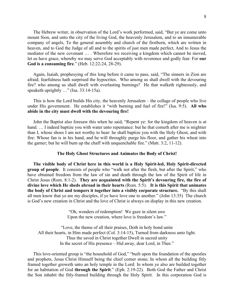The Hebrew writer, in observation of the Lord's work performed, said, "But ye are come unto mount Sion, and unto the city of the living God, the heavenly Jerusalem, and to an innumerable company of angels, To the general assembly and church of the firstborn, which are written in heaven, and to God the Judge of all and to the spirits of just men made perfect, And to Jesus the mediator of the new covenant … . Wherefore we receiving a kingdom which cannot be moved, let us have grace, whereby we may serve God acceptably with reverence and godly fear: For **our God is a consuming fire**." (Heb. 12:22-24, 28-29).

 Again, Isaiah, prophesying of this long before it came to pass, said, "The sinners in Zion are afraid; fearfulness hath surprised the hypocrites. Who among us shall dwell with the devouring fire? who among us shall dwell with everlasting burnings? He that walketh righteously, and speaketh uprightly ..." (Isa. 33:14-15a).

 This is how the Lord builds His city, the heavenly Jerusalem – the collage of people who live under His government. He establishes it "with burning and fuel of fire!" (Isa. 9:5). **All who abide in the city must dwell with the devouring fire!**

 John the Baptist also foresaw this when he said, "Repent ye: for the kingdom of heaven is at hand. ... I indeed baptize you with water unto repentance: but he that cometh after me is mightier than I, whose shoes I am not worthy to bear: he shall baptize you with the Holy Ghost, and with fire: Whose fan is in his hand, and he will throughly purge his floor, and gather his wheat into the garner; but he will burn up the chaff with unquenchable fire." (Matt. 3:2, 11-12).

#### **The Holy Ghost Structures and Animates the Body of Christ!**

 **The visible body of Christ here in this world is a Holy Spirit-led, Holy Spirit-directed group of people**. It consists of people who "walk not after the flesh, but after the Spirit," who have obtained freedom from the law of sin and death through the law of the Spirit of life in Christ Jesus (Rom. 8:1-2). **They are acquainted with the Spirit's devouring fire, the fire of divine love which He sheds abroad in their hearts** (Rom. 5:5). **It is this Spirit that animates the body of Christ and tempers it together into a visibly corporate structure.** "By this shall all men know that ye are my disciples, if ye have love one to another." (John 13:35) The church is God's new creation in Christ and the love of Christ is always on display in this new creation.

> "Oh, wonders of redemption! We gaze in silent awe Upon the new creation, where love is freedom's law."

"Love, the theme of all their praises, Doth in holy bond unite All their hearts, in Him made perfect (Col. 3:14-15), Turned from darkness unto light. Thus the saved in Christ together Dwell in sacred unity In the secret of His presence – Hid away, dear Lord, in Thee."

 This love-oriented group is "the household of God," "built upon the foundation of the apostles and prophets, Jesus Christ Himself being the chief corner stone; In whom all the building fitly framed together groweth unto an holy temple in the Lord: In whom ye also are builded together for an habitation of God **through the Spirit**." (Eph. 2:19-22). Both God the Father and Christ the Son inhabit the fitly-framed building through the Holy Spirit. In this corporation God is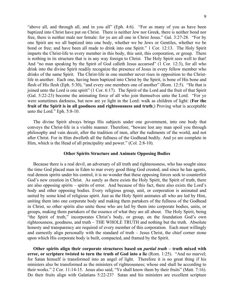"above all, and through all, and in you all" (Eph. 4:6). "For as many of you as have been baptized into Christ have put on Christ. There is neither Jew nor Greek, there is neither bond nor free, there is neither male nor female: for ye are all one in Christ Jesus." Gal. 3:27-28. "For by one Spirit are we all baptized into one body, whether we be Jews or Gentiles, whether we be bond or free; and have been all made to drink into one Spirit." 1 Cor. 12:13. The Holy Spirit imparts the Christ-life to every member in this body, this unit, this corporation, or group. There is nothing in its structure that is in any way foreign to Christ. The Holy Spirit sees well to that! And "no man speaking by the Spirit of God calleth Jesus accursed" (1 Cor. 12:3), for all who drink into the divine Spirit readily recognize the presence of Jesus in every fellow member who drinks of the same Spirit. The Christ-life in one member never rises in opposition to the Christlife in another. Each one, having been baptized into Christ by the Spirit, is bone of His bone and flesh of His flesh (Eph. 5:30), "and every one members one of another" (Rom. 12:5). "He that is joined unto the Lord is one spirit" (1 Cor. 6:17). The Spirit of the Lord and the fruit of that Spirit (Gal. 5:22-23) become the animating force of all who join themselves unto the Lord. "For ye were sometimes darkness, but now are ye light in the Lord: walk as children of light: (**For the fruit of the Spirit is in all goodness and righteousness and truth**;) Proving what is acceptable

 The divine Spirit always brings His subjects under one government, into one body that conveys the Christ-life in a visible manner. Therefore, "beware lest any man spoil you through philosophy and vain deceit, after the tradition of men, after the rudiments of the world, and not after Christ. For in Him dwelleth all the fullness of the Godhead bodily. And ye are complete in Him, which is the Head of all principality and power." (Col. 2:8-10).

unto the Lord." Eph. 5:8-10.

#### **Other Spirits Structure and Animate Opposing Bodies**

 Because there is a real devil, an adversary of all truth and righteousness, who has sought since the time God placed man in Eden to mar every good thing God created, and since he has agents, real demon spirits under his control, it is no wonder that these opposing forces seek to counterfeit God's new creation in Christ. As surely as there exists the Holy Spirit, the Spirit of truth, there are also opposing spirits – spirits of error. And because of this fact, there also exists the Lord's body and other opposing bodies. Every religious group, unit, or corporation is animated and united by some kind of religious spirit. Just as the Holy Spirit animates all who are led by Him, uniting them into one corporate body and making them partakers of the fullness of the Godhead in Christ, so other spirits also unite those who are led by them into corporate bodies, units, or groups, making them partakers of the essence of what they are all about. The Holy Spirit, being "the Spirit of truth," incorporates Christ's body, or group, on the foundation God's own righteousness, goodness, and truth – THE WHOLE TRUTH and nothing but the truth. Absolute honesty and transparency are required of every member of this corporation. Each must willingly and earnestly align personally with the standard of truth – Jesus Christ, the chief corner stone upon which His corporate body is built, compacted, and framed by the Spirit.

 **Other spirits align their corporate structures based on** *partial truth* **– truth mixed with error, or scripture twisted to turn the truth of God into a lie** (Rom. 1:25). "And no marvel; for Satan himself is transformed into an angel of light. Therefore it is no great thing if his ministers also be transformed as the ministers of righteousness; whose end shall be according to their works." 2 Cor. 11:14-15. Jesus also said, "Ye shall know them by their fruits" (Matt. 7:16). Do their fruits align with Galatians 5:22-23? Satan and his ministers are excellent scripture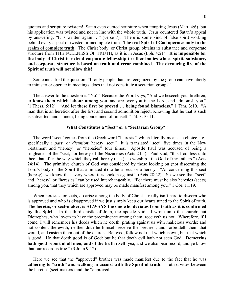quoters and scripture twisters! Satan even quoted scripture when tempting Jesus (Matt. 4:6), but his application was twisted and not in line with the whole truth. Jesus countered Satan's appeal by answering, "It is written again …" (verse 7). There is some kind of false spirit working behind every aspect of twisted or incomplete truth. **The real Spirit of God operates only in the realm of complete truth**. The Christ body, or Christ group, obtains its substance and corporate structure from THE FULLNESS OF TRUTH, as it is in Jesus (Eph. 4:21). **It is impossible for the body of Christ to extend corporate fellowship to other bodies whose spirit, substance, and corporate structure is based on truth and error combined**. **The devouring fire of the Spirit of truth will not allow this!**

 Someone asked the question: "If only people that are recognized by the group can have liberty to minister or operate in meetings, does that not constitute a sectarian group?"

 The answer to the question is "No!" Because the Word says, "And we beseech you, brethren, to **know them which labour among you**, and are over you in the Lord, and admonish you." (1 Thess. 5:12). "And **let these first be proved … being found blameless**." 1 Tim. 3:10. "A man that is an heretick after the first and second admonition reject; Knowing that he that is such is subverted, and sinneth, being condemned of himself." Tit. 3:10-11.

#### **What Constitutes a "Sect" or a "Sectarian Group?"**

 The word "sect" comes from the Greek word "hairesis," which literally means "a choice, i.e., specifically a *party or disunion*: heresy, sect." It is translated "sect" five times in the New Testament and "heresy" or "heresies" four times. Apostle Paul was accused of being a ringleader of the "sect," or heresy of the Nazarenes (Acts 24:5). Paul said, "this I confess unto thee, that after the way which they call heresy (sect), so worship I the God of my fathers." (Acts 24:14). The primitive church of God was considered by those looking on (not discerning the Lord's body or the Spirit that animated it) to be a sect, or a heresy. "As concerning this sect (heresy), we know that every where it is spoken against." (Acts 28:22). So we see that "sect" and "heresy" or "heresies" can be used interchangeably. "For there must be also heresies (sects) among you, that they which are approved may be made manifest among you." 1 Cor. 11:19.

 When heresies, or sects, do arise among the body of Christ it really isn't hard to discern who is approved and who is disapproved if we just simply keep our hearts tuned to the Spirit of truth. **The heretic, or sect-maker, is ALWAYS the one who deviates from truth as it is confirmed by the Spirit**. In the third epistle of John, the apostle said, "I wrote unto the church: but Diotrephes, who loveth to have the preeminence among them, receiveth us not. Wherefore, if I come, I will remember his deeds which he doeth, prating against us with malicious words: and not content therewith, neither doth he himself receive the brethren, and forbiddeth them that would, and casteth them out of the church. Beloved, follow not that which is evil, but that which is good. He that doeth good is of God: but he that doeth evil hath not seen God. **Demetrius hath good report of all men, and of the truth itself**: yea, and we also bear record; and ye know that our record is true." (3 John 9-12).

 Here we see that the "approved" brother was made manifest due to the fact that he was **adhering to "truth" and walking in accord with the Spirit of truth**. Truth divides between the heretics (sect-makers) and the "approved."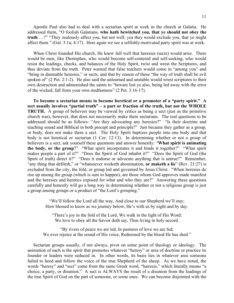Apostle Paul also had to deal with a sectarian spirit at work in the church at Galatia. He addressed them, "O foolish Galatians, **who hath bewitched you, that ye should not obey the truth** …?" "They zealously affect you, but not well; yea they would exclude you, that ye might affect them." (Gal. 3:1a; 4:17). Here again we see a selfishly-motivated party spirit was at work.

 When Christ founded His church, He knew full well that heresies (sects) would arise. There would be men, like Diotrephes, who would become self-centered and self-seeking, who would resist the leadings, checks, and balances of the Holy Spirit, twist and wrest the Scriptures, and thus deviate from the truth. Peter warned that false teachers would come in "among you" and "bring in damnable heresies," or sects, and that by reason of these "the way of truth shall be evil spoken of"  $(2$  Pet. 2:1-2). He also said the unlearned and unstable would wrest scriptures to their own destruction and admonished the saints to "beware lest ye also, being led away with the error of the wicked, fall from your own stedfastness" (2 Pet. 3:16-17).

 **To become a sectarian means to become heretical or a promoter of a "party spirit." A sect usually involves "partial truth" – a part or fraction of the truth, but not the WHOLE TRUTH.** A group of believers may be viewed by critics as being a sect (just as the primitive church was), however, that does not necessarily make them sectarians. The real questions to be addressed should be as follows: "Are they advocating any heresies?" "Is their doctrine and teaching sound and Biblical in both precept and principle?" Just because they gather as a group, or body, does not make them a sect. The Holy Spirit baptizes people into one body and that body is not heretical or sectarian (1 Cor. 12:13). In determining whether or not a group of believers is a sect, ask yourself these questions and answer honestly: "**What spirit is animating the body, or the group**?" "What spirit incorporates it and binds it together?" "What spirit makes people a part of it?" "Does the Spirit of God inhabit it?" "Does the Spirit of God (the Spirit of truth) direct it?" "Does it endorse or advocate anything that is untrue?" Remember, "any thing that defileth," or "whatsoever worketh abomination, **or maketh a lie**" (Rev. 21:27) is excluded from the city, the fold, or group led and governed by Jesus Christ. "When heresies do rise up among the group (which is sure to happen), are those whom God approves made manifest and the heresies and heretics exposed for what and who they are?" Answering these questions carefully and honestly will go a long way in determining whether or not a religious group is just a group among groups or a product of "the Lord's grouping."

"We'll follow the Lord all the way, And close to our Shepherd we'll stay; How blessed to know as we journey below, He's with us by night and by day.

"There's joy in the fold of the Lord, We walk in the light of His Word; We love to obey all the Savior doth say, Thus living in holy accord.

"By rivers of peace we are led, In pastures of love we are fed; We ever rejoice at the sound of His voice, Redeemed by the blood He has shed."

 Sectarian groups usually, if not always, pivot on some point of theology or ideology. The animation of each is the spirit that promotes whatever "heresy" or area of doctrine or practice its founder or leaders were seduced in. In other words, its basis lies in whatever area someone failed to heed and follow the voice of the true Shepherd of the sheep. As we have noted, the words "heresy" and "sect" come from the same Greek word, "hairesis," which literally means "a choice, a party, or disunion." A sect is ALWAYS the result of a disunion from the leadings of the true Spirit of God on the part of someone, or some ones. We can become disjointed with the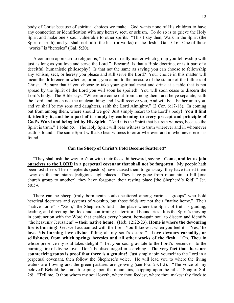body of Christ because of spiritual choices we make. God wants none of His children to have any connection or identification with any heresy, sect, or schism. To do so is to grieve the Holy Spirit and make one's soul vulnerable to other spirits. "This I say then, Walk in the Spirit (the Spirit of truth), and ye shall not fulfil the lust (or works) of the flesh." Gal. 5:16. One of those "works" is "heresies" (Gal. 5:20).

 A common approach to religion is, "it doesn't really matter which group you fellowship with just as long as you love and serve the Lord." Beware! Is that a Bible doctrine, or is it part of a deceitful, humanistic philosophy? Is that not the same as saying you can choose to fellowship any schism, sect, or heresy you please and still serve the Lord? Your choice in this matter will mean the difference in whether, or not, you attain to the measure of the stature of the fullness of Christ. Be sure that if you choose to take your spiritual meat and drink at a table that is not spread by the Spirit of the Lord you will soon be spoiled! You will soon cease to discern the Lord's body. The Bible says, "Wherefore come out from among them, and be ye separate, saith the Lord, and touch not the unclean thing; and I will receive you, And will be a Father unto you, and ye shall be my sons and daughters, saith the Lord Almighty." (2 Cor. 6:17-18). In coming out from among them, where should we go? Just simply resort to the Lord's body! **You'll find it, identify it, and be a part of it simply by conforming to every precept and principle of God's Word and being led by His Spirit**. "And it is the Spirit that beareth witness, because the Spirit is truth." 1 John 5:6. The Holy Spirit will bear witness to truth wherever and in whomever truth is found. The same Spirit will also bear witness to error wherever and in whomever error is found.

#### **Can the Sheep of Christ's Fold Become Scattered?**

 "They shall ask the way to Zion with their faces thitherward, saying , **Come, and let us join ourselves to the LORD in a perpetual covenant that shall not be forgotten**. My people hath been lost sheep: Their shepherds (pastors) have caused them to go astray, they have turned them away on the mountains [religious high places]: They have gone from mountain to hill [one church group to another], they have forgotten their resting place [the Shepherd's fold]." Jer. 50:5-6.

 There can be sheep (truly born-again souls) scattered among various "groups" who hold heretical doctrines and systems of worship, but those folds are not their "native home." Their "native home" is "Zion," the Shepherd's fold – the place where the Spirit of truth is guiding, leading, and directing the flock and confirming its territorial boundaries. It is the Spirit's moving in conjunction with the Word that enables every honest, born-again soul to discern and identify "the heavenly Jerusalem" – **their native home!** (Heb. 12:22-23). **Home is where the devouring fire is burning!** Get well acquainted with the fire! You'll know it when you feel it! "Yes, '**tis love, 'tis burning love divine**, filling all my soul's desire!" **Love devours carnality, or selfishness, from which springs heresies and all other works of the flesh**. "Oh, Thou in whose presence my soul takes delight!" Let your soul gravitate to the Lord's presence – to the burning fire of divine love! Don't be discouraged in searching! **The very fact that there are counterfeit groups is proof that there is a genuine!** Just simply join yourself to the Lord in a perpetual covenant, then follow the Shepherd's voice. He will lead you to where the living waters are flowing and the green pastures are growing (see Psa. 23:1-2). "The voice of my beloved! Behold, he cometh leaping upon the mountains, skipping upon the hills." Song of Sol. 2:8. "Tell me, O thou whom my soul loveth, where thou feedest, where thou makest thy flock to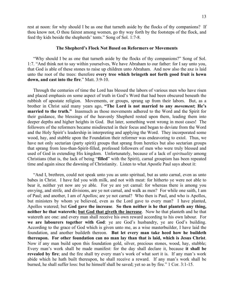rest at noon: for why should I be as one that turneth aside by the flocks of thy companions? If thou know not, O thou fairest among women, go thy way forth by the footsteps of the flock, and feed thy kids beside the shepherds' tents." Song of Sol. 1:7-8.

#### **The Shepherd's Flock Not Based on Reformers or Movements**

 "Why should I be as one that turneth aside by the flocks of thy companions?" Song of Sol. 1:7. "And think not to say within yourselves, We have Abraham to our father: for I say unto you, that God is able of these stones to raise up children unto Abraham. And now also the axe is laid unto the root of the trees: therefore **every tree which bringeth not forth good fruit is hewn down, and cast into the fire**." Matt. 3:9-10.

 Through the centuries of time the Lord has blessed the labors of various men who have risen and placed emphasis on some aspect of truth in God's Word that had been obscured beneath the rubbish of apostate religion. Movements, or groups, sprang up from their labors. But, as a brother in Christ said many years ago, **"The Lord is not married to any** *movement***; He's married to the truth."** Inasmuch as those movements adhered to the Word and the Spirit for their guidance, the blessings of the heavenly Shepherd rested upon them, leading them into deeper depths and higher heights in God. But later, something went wrong in most cases! The followers of the reformers became misdirected in their focus and began to deviate from the Word and the Holy Spirit's leadership in interpreting and applying the Word. They incorporated some wood, hay, and stubble upon the Foundation their reformer was endeavoring to extol. Thus, we have not only sectarian (party spirit) groups that sprang from heretics but also sectarian groups that sprang from less-than-Spirit-filled, professed followers of men who were truly blessed and used of God in extending His kingdom. Unfortunately, because of a lack of *spirituality* among Christians (that is, the lack of being "**filled**" with the Spirit), carnal groupism has been repeated time and again since the dawning of Christianity. Listen to what Apostle Paul says about it:

 "And I, brethren, could not speak unto you as unto spiritual, but as unto carnal, even as unto babes in Christ. I have fed you with milk, and not with meat: for hitherto ye were not able to bear it, neither yet now are ye able. For ye are yet carnal: for whereas there is among you envying, and strife, and divisions, are ye not carnal, and walk as men? For while one saith, I am of Paul; and another, I am of Apollos; are ye not carnal? Who then is Paul, and who is Apollos, but ministers by whom ye believed, even as the Lord gave to every man? I have planted, Apollos watered; but **God gave the increase**. **So then neither is he that planteth any thing, neither he that watereth; but God that giveth the increase**. Now he that planteth and he that watereth are one: and every man shall receive his own reward according to his own labour. For **we are labourers together with God**: ye are God's husbandry, ye are God's building. According to the grace of God which is given unto me, as a wise masterbuilder, I have laid the foundation, and another buildeth thereon. **But let every man take heed how he buildeth thereupon. For other foundation can no man lay than that is laid, which is Jesus Christ**. Now if any man build upon this foundation gold, silver, precious stones, wood, hay, stubble; Every man's work shall be made manifest: for the day shall declare it, because **it shall be revealed by fire**; and the fire shall try every man's work of what sort it is. If any man's work abide which he hath built thereupon, he shall receive a reward. If any man's work shall be burned, he shall suffer loss: but he himself shall be saved; yet so as by fire." 1 Cor. 3:1-15.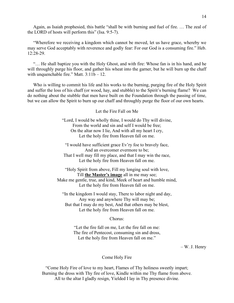Again, as Isaiah prophesied, this battle "shall be with burning and fuel of fire. … The zeal of the LORD of hosts will perform this" (Isa. 9:5-7).

 "Wherefore we receiving a kingdom which cannot be moved, let us have grace, whereby we may serve God acceptably with reverence and godly fear: For our God is a consuming fire." Heb. 12:28-29.

 "… He shall baptize you with the Holy Ghost, and with fire: Whose fan is in his hand, and he will throughly purge his floor, and gather his wheat into the garner, but he will burn up the chaff with unquenchable fire." Matt.  $3:11b - 12$ .

 Who is willing to commit his life and his works to the burning, purging fire of the Holy Spirit and suffer the loss of his chaff (or wood, hay, and stubble) to the Spirit's burning flame? We can do nothing about the stubble that men have built on the Foundation through the passing of time, but we can allow the Spirit to burn up our chaff and throughly purge the floor of our own hearts.

Let the Fire Fall on Me

"Lord, I would be wholly thine, I would do Thy will divine, From the world and sin and self I would be free; On the altar now I lie, And with all my heart I cry, Let the holy fire from Heaven fall on me.

"I would have sufficient grace Ev'ry foe to bravely face, And an overcomer evermore to be; That I well may fill my place, and that I may win the race, Let the holy fire from Heaven fall on me.

"Holy Spirit from above, Fill my longing soul with love, Till **the Master's image** all in me may see; Make me gentle, true, and kind, Meek of heart and humble mind, Let the holy fire from Heaven fall on me.

"In the kingdom I would stay, There to labor night and day, Any way and anywhere Thy will may be; But that I may do my best, And that others may be blest, Let the holy fire from Heaven fall on me.

Chorus:

"Let the fire fall on me, Let the fire fall on me: The fire of Pentecost, consuming sin and dross, Let the holy fire from Heaven fall on me."

– W. J. Henry

Come Holy Fire

"Come Holy Fire of love to my heart, Flames of Thy holiness sweetly impart; Burning the dross with Thy fire of love, Kindle within me Thy flame from above. All to the altar I gladly resign, Yielded I lay in Thy presence divine.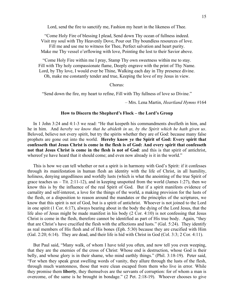Lord, send the fire to sanctify me, Fashion my heart in the likeness of Thee.

"Come Holy Fire of blessing I plead, Send down Thy ocean of fullness indeed. Visit my soul with Thy Heavenly Dove, Pour out Thy boundless resources of love. Fill me and use me to witness for Thee, Perfect salvation and heart purity.

Make me Thy vessel o'erflowing with love, Pointing the lost to their Savior above.

"Come Holy Fire within me I pray, Stamp Thy own sweetness within me to stay. Fill with Thy holy compassionate flame, Deeply engrave with the print of Thy Name. Lord, by Thy love, I would ever be Thine, Walking each day in Thy presence divine. Oh, make me constantly tender and true, Keeping the love of my Jesus in view.

Chorus:

"Send down the fire, my heart to refine, Fill with Thy fullness of love so Divine."

– Mrs. Lena Martin, *Heartland Hymns* #164

#### **How to Discern the Shepherd's Flock – the Lord's Group**

 In 1 John 3:24 and 4:1-3 we read: "He that keepeth his commandments dwelleth in him, and he in him. And *hereby we know that he abideth in us, by the Spirit which he hath given us*. Beloved, believe not every spirit, but try the spirits whether they are of God: because many false prophets are gone out into the world. **Hereby know ye the Spirit of God: Every spirit that confesseth that Jesus Christ is come in the flesh is of God: And every spirit that confesseth not that Jesus Christ is come in the flesh is not of God**: and this is that spirit of antichrist, whereof ye have heard that it should come; and even now already is it in the world."

 This is how we can tell whether or not a spirit is in harmony with God's Spirit: if it confesses through its manifestation in human flesh an identity with the life of Christ, in all humility, holiness, denying ungodliness and worldly lusts (which is what the anointing of the true Spirit of grace teaches us – Tit. 2:11-12), and in keeping unspotted from the world (James 1:27), then we know this is by the influence of the real Spirit of God. But if a spirit manifests evidence of carnality and self-interest, a love for the things of the world, a making provision for the lusts of the flesh, or a disposition to reason around the mandates or the principles of the scriptures, we know that this spirit is not of God, but is a spirit of antichrist. Whoever is not joined to the Lord in one spirit (1 Cor. 6:17), always bearing about in the body the dying of the Lord Jesus, that the life also of Jesus might be made manifest in his body (2 Cor. 4:10) is not confessing that Jesus Christ is come in the flesh, therefore cannot be identified as part of His true body. Again, "they that are Christ's have crucified the flesh with the affections and lusts." (Gal. 5:24). They identify as real members of His flesh and of His bones (Eph. 5:30) because they are crucified with Him (Gal. 2:20; 6:14). They are dead, and their life is hid with Christ in God (Col. 3:3; 2 Cor. 4:11).

 But Paul said, "Many walk, of whom I have told you often, and now tell you even weeping, that they are the enemies of the cross of Christ: Whose end is destruction, whose God is their belly, and whose glory is in their shame, who mind earthly things." (Phil. 3:18-19). Peter said, "For when they speak great swelling words of vanity, they allure through the lusts of the flesh, through much wantonness, those that were clean escaped from them who live in error. While they promise them **liberty**, they themselves are the servants of corruption: for of whom a man is overcome, of the same is he brought in bondage." (2 Pet. 2:18-19). Whoever chooses to give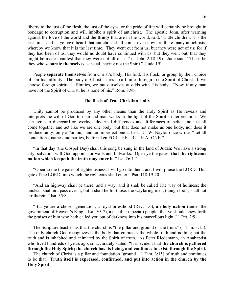liberty to the lust of the flesh, the lust of the eyes, or the pride of life will certainly be brought in bondage to corruption and will imbibe a spirit of antichrist. The apostle John, after warning against the love of the world and the **things** that are in the world, said, "Little children, it is the last time: and as ye have heard that antichrist shall come, even now are there many antichrists; whereby we know that it is the last time. They went out from us, but they were not of us; for if they had been of us, they would no doubt have continued with us: but they went out, that they might be made manifest that they were not all of us." (1 John 2:18-19). Jude said, "These be they who **separate themselves**, sensual, having not the Spirit." (Jude 19).

 People **separate themselves** from Christ's body, His fold, His flock, or group by their choice of spiritual affinity. The body of Christ shares no affinities foreign to the Spirit of Christ. If we choose foreign spiritual affinities, we put ourselves at odds with His body. "Now if any man have not the Spirit of Christ, he is none of his." Rom. 8:9b.

#### **The Basis of True Christian Unity**

 Unity cannot be produced by any other means than the Holy Spirit as He reveals and interprets the will of God to man and man walks in the light of the Spirit's interpretation. We can agree to disregard or overlook doctrinal differences and differences of belief and just all come together and act like we are one body, but that does not make us one body, nor does it produce unity: only a "union," and an imperfect one at best. C. W. Naylor once wrote, "Let all contentions, names and parties, be forsaken FOR THE TRUTH ALONE."

 "In that day (the Gospel Day) shall this song be sung in the land of Judah; We have a strong city; salvation will God appoint for walls and bulwarks. Open ye the gates, **that the righteous nation which keepeth the truth may enter in**." Isa. 26:1-2.

 "Open to me the gates of righteousness: I will go into them, and I will praise the LORD: This gate of the LORD, into which the righteous shall enter." Psa. 118:19-20.

 "And an highway shall be there, and a way, and it shall be called The way of holiness; the unclean shall not pass over it; but it shall be for those: the wayfaring men, though fools, shall not err therein." Isa. 35:8.

 "But ye are a chosen generation, a royal priesthood (Rev. 1:6), **an holy nation** (under the government of Heaven's King – Isa. 9:5-7), a peculiar (special) people; that ye should shew forth the praises of him who hath called you out of darkness into his marvellous light." 1 Pet. 2:9.

 The Scripture teaches us that the church is "the pillar and ground of the truth." (1 Tim. 3:15). The only church God recognizes is the body that embraces the whole truth and nothing but the truth and is inhabited and animated by the Spirit of truth. As Peter Riedemann, an Anabaptist who lived hundreds of years ago, so accurately stated: "It is evident that **the church is gathered through the Holy Spirit; the church has its being, and continues to exist, through the Spirit.** … The church of Christ is a pillar and foundation [ground – 1 Tim. 3:15] of truth and continues to be that. **Truth itself is expressed, confirmed, and put into action in the church by the Holy Spirit**."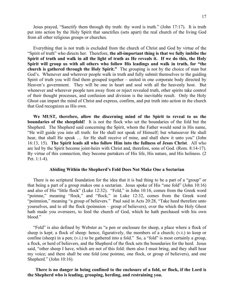Jesus prayed, "Sanctify them through thy truth: thy word is truth." (John 17:17). It is truth put into action by the Holy Spirit that sanctifies (sets apart) the real church of the living God from all other religious groups or churches.

 Everything that is not truth is excluded from the church of Christ and God by virtue of the "Spirit of truth" who directs her. Therefore, **the all-important thing is that we fully imbibe the Spirit of truth and walk in all the light of truth as He reveals it. If we do this, the Holy Spirit will group us with all others who follow His leadings and walk in truth, for "the church is gathered through the Holy Spirit."** The grouping is not by the choice of man but God's. Whenever and wherever people walk in truth and fully submit themselves to the guiding Spirit of truth you will find them grouped together – united in one corporate body directed by Heaven's government. They will be one in heart and soul with all the heavenly host. But whenever and wherever people turn away from or reject revealed truth, other spirits take control of their thought processes, and confusion and division is the inevitable result. Only the Holy Ghost can impart the mind of Christ and express, confirm, and put truth into action in the church that God recognizes as His own.

 **We MUST, therefore, allow the discerning mind of the Spirit to reveal to us the boundaries of the sheepfold!** It is not the flock who set the boundaries of the fold but the Shepherd. The Shepherd said concerning the Spirit, whom the Father would send in His name, "He will guide you into all truth: for He shall not speak of Himself; but whatsoever He shall hear, that shall He speak … for He shall receive of mine, and shall shew it unto you" (John 16:13, 15). **The Spirit leads all who follow Him into the fullness of Jesus Christ**. All who are led by the Spirit become joint-heirs with Christ and, therefore, sons of God. (Rom. 8:14-17). By virtue of this connection, they become partakers of His life, His nature, and His holiness. (2 Pet. 1:1-4).

#### **Abiding Within the Shepherd's Fold Does Not Make One a Sectarian**

 There is no scriptural foundation for the idea that it is bad thing to be a part of a "group" or that being a part of a group makes one a sectarian. Jesus spoke of His "one fold" (John 10:16) and also of His "little flock" (Luke 12:32). "Fold," in John 10:16, comes from the Greek word "poimne," meaning "flock," and "flock," in Luke 12:32, comes from the Greek word "poimnion," meaning "a group of believers." Paul said in Acts 20:28, "Take heed therefore unto yourselves, and to all the flock (poimnion – group of believers), over the which the Holy Ghost hath made you overseers, to feed the church of God, which he hath purchased with his own blood."

 "Fold" is also defined by Webster as "a pen or enclosure for sheep, a place where a flock of sheep is kept; a flock of sheep: hence, figuratively, the members of a church; (v.t.) to keep or confine (sheep) in a pen; (v.i.) to be gathered into a fold." So, a "fold" is most certainly a group, a flock, or herd of believers, and the Shepherd of the flock sets the boundaries for the herd. Jesus said, "other sheep I have, which are not of this fold: them also I must bring, and they shall hear my voice; and there shall be one fold (one poimne, one flock, or group of believers), and one Shepherd." (John 10:16).

 **There is no danger in being confined to the enclosure of a fold, or flock, if the Lord is the Shepherd who is leading, grouping, herding, and restraining you.**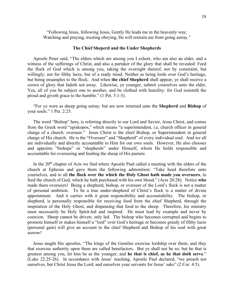"Following Jesus, following Jesus, Gently He leads me in the heavenly way; Watching and praying, trusting obeying, He will restrain me from going astray."

#### **The Chief Sheperd and the Under Shepherds**

 Apostle Peter said, "The elders which are among you I exhort, who am also an elder, and a witness of the sufferings of Christ, and also a partaker of the glory that shall be revealed: Feed the flock of God which is among you, taking the oversight thereof, not by constraint, but willingly; not for filthy lucre, but of a ready mind; Neither as being lords over God's heritage, but being ensamples to the flock. And when **the chief Shepherd** shall appear, ye shall receive a crown of glory that fadeth not away. Likewise, ye younger, submit yourselves unto the elder, Yea, all of you be subject one to another, and be clothed with humility: for God resisteth the proud and giveth grace to the humble." (1 Pet. 5:1-5).

 "For ye were as sheep going astray; but are now returned unto the **Shepherd** and **Bishop** of your souls." 1 Pet. 2:25.

 The word "Bishop" here, is referring directly to our Lord and Savior, Jesus Christ, and comes from the Greek word "episkopos," which means "a superintendent, i.e, church officer in general charge of a church: overseer." Jesus Christ is the chief Bishop, or Superintendent in general charge of His church. He is the "Overseer" and "Shepherd" of every individual soul. And we all are individually and directly accountable to Him for our own souls. However, He also chooses and appoints "bishops" or "shepherds" under Himself, whom He holds responsible and accountable for overseeing and feeding the sheep of His pasture.

In the  $20<sup>th</sup>$  chapter of Acts we find where Apostle Paul called a meeting with the elders of the church at Ephesus and gave them the following admonition: "Take heed therefore unto yourselves, and to all **the flock over the which the Holy Ghost hath made you overseers**, to feed the church of God, which he hath purchased with his own blood." (Acts 20:28). Notice **who** made them overseers! Being a shepherd, bishop, or overseer of the Lord's flock is not a matter of personal ambition. To be a true under-shepherd of Christ's flock is a matter of divine appointment. And it carries with it great responsibility and accountability. The bishop, or shepherd, is personally responsible for receiving food from the chief Shepherd, through the inspiration of the Holy Ghost, and dispensing that food to the sheep. Therefore, his ministry must necessarily be Holy Spirit-led and inspired. He must lead by example and never by coercion. Sheep cannot be driven; only led. The bishop who becomes corrupted and begins to promote himself or makes himself a "lord" over God's heritage or becomes greedy of filthy lucre (personal gain) will give an account to the chief Shepherd and Bishop of his soul with great sorrow!

 Jesus taught His apostles, "The kings of the Gentiles exercise lordship over them; and they that exercise authority upon them are called benefactors. But ye shall not be so: but he that is greatest among you, let him be as the younger; and **he that is chief, as he that doth serve**." (Luke 22:25-26). In accordance with Jesus' teaching, Apostle Paul declared, "we preach not ourselves, but Christ Jesus the Lord; and ourselves your servants for Jesus' sake" (2 Cor. 4:5).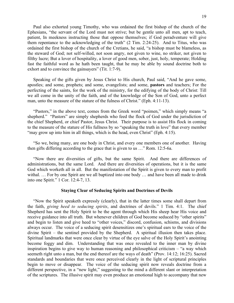Paul also exhorted young Timothy, who was ordained the first bishop of the church of the Ephesians, "the servant of the Lord must not strive; but be gentle unto all men, apt to teach, patient, In meekness instructing those that oppose themselves; if God peradventure will give them repentance to the acknowledging of the truth" (2 Tim. 2:24-25). And to Titus, who was ordained the first bishop of the church of the Cretians, he said, "a bishop must be blameless, as the steward of God; not self-willed, not soon angry, not given to wine, no striker, not given to filthy lucre; But a lover of hospitality, a lover of good men, sober, just, holy, temperate; Holding fast the faithful word as he hath been taught, that he may be able by sound doctrine both to exhort and to convince the gainsayers" (Tit. 1:7-9).

 Speaking of the gifts given by Jesus Christ to His church, Paul said, "And he gave some, apostles; and some, prophets; and some, evangelists; and some, **pastors** and teachers; For the perfecting of the saints, for the work of the ministry, for the edifying of the body of Christ: Till we all come in the unity of the faith, and of the knowledge of the Son of God, unto a perfect man, unto the measure of the stature of the fulness of Christ." (Eph. 4:11-13).

 "Pastors," in the above text, comes from the Greek word "poimen," which simply means "a shepherd." "Pastors" are simply shepherds who feed the flock of God under the jurisdiction of the chief Shepherd, or chief Pastor, Jesus Christ. Their purpose is to assist His flock in coming to the measure of the stature of His fullness by so "speaking the truth in love" that every member "may grow up into him in all things, which is the head, even Christ" (Eph. 4:15).

 "So we, being many, are one body in Christ, and every one members one of another. Having then gifts differing according to the grace that is given to us …" Rom. 12:5-6a.

 "Now there are diversities of gifts, but the same Spirit. And there are differences of administrations, but the same Lord. And there are diversities of operations, but it is the same God which worketh all in all. But the manifestation of the Spirit is given to every man to profit withal. ... For by one Spirit are we all baptized into one body ... and have been all made to drink into one Spirit." 1 Cor. 12:4-7, 13.

#### **Staying Clear of Seducing Spirits and Doctrines of Devils**

 "Now the Spirit speaketh expressly (clearly), that in the latter times some shall depart from the faith, *giving heed to seducing spirits*, and doctrines of devils." 1 Tim. 4:1. The chief Shepherd has sent the Holy Spirit to be the agent through which His sheep hear His voice and receive guidance into all truth. But whenever children of God become seduced by "other spirits" and begin to listen and give heed to "other voices," discord, confusion, schisms, and divisions always occur. The voice of a seducing spirit desensitizes one's spiritual ears to the voice of the divine Spirit – the sentinel provided by the Shepherd. A spiritual illusion then takes place. Spiritual landmarks that were once clear by virtue of the eye salve of the Holy Spirit's anointing become foggy and dim. Understanding that was once revealed to the inner man by divine inspiration begins to give way to human reasoning and philosophical criticism – "a way which seemeth right unto a man, but the end thereof are the ways of death" (Prov. 14:12; 16:25). Sacred standards and boundaries that were once perceived clearly in the light of scriptural principles begin to move or disappear. The voice of the seducing spirit now reveals doctrine from a different perspective, in a "new light," suggesting to the mind a different slant or interpretation of the scriptures. The illusive spirit may even produce an emotional high to accompany that new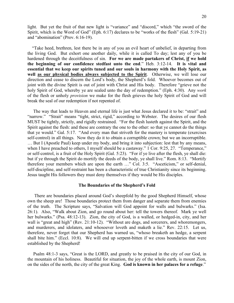light. But yet the fruit of that new light is "variance" and "discord," which "the sword of the Spirit, which is the Word of God" (Eph. 6:17) declares to be "works of the flesh" (Gal. 5:19-21) and "abomination" (Prov. 6:16-19).

 "Take heed, brethren, lest there be in any of you an evil heart of unbelief, in departing from the living God. But exhort one another daily, while it is called To day; lest any of you be hardened through the deceitfulness of sin. **For we are made partakers of Christ, if we hold the beginning of our confidence stedfast unto the end**." Heb. 3:12-14. **It is vital and essential that we keep our spirits tuned and our souls in harmony with the Holy Spirit, as well as our physical bodies always subjected to the Spirit**. Otherwise, we will lose our direction and cease to discern the Lord's body, the Shepherd's fold. Whoever becomes out of joint with the divine Spirit is out of joint with Christ and His body. Therefore "grieve not the holy Spirit of God, whereby ye are sealed unto the day of redemption." (Eph. 4:30). Any *work* of the flesh or unholy *provision* we make for the flesh grieves the holy Spirit of God and will break the seal of our redemption if not repented of.

 The way that leads to Heaven and eternal life is just what Jesus declared it to be: "strait" and "narrow." "Strait" means "tight, strict, rigid," according to Webster. The desires of our flesh MUST be tightly, strictly, and rigidly restrained. "For the flesh lusteth against the Spirit, and the Spirit against the flesh: and these are contrary the one to the other: so that ye cannot do the things that ye would." Gal. 5:17. "And every man that striveth for the mastery is temperate (exercises self-control) in all things. Now they do it to obtain a corruptible crown; but we an incorruptible. … But I (Apostle Paul) keep under my body, and bring it into subjection: lest that by any means, when I have preached to others, I myself should be a castaway." 1 Cor. 9:25, 27. "Temperance," or self-control, is a fruit of the Holy Spirit (Gal. 5:23). "For if ye live after the flesh, ye shall die: but if ye through the Spirit do mortify the deeds of the body, ye shall live." Rom. 8:13. "Mortify therefore your members which are upon the earth …" Col. 3:5. "Asceticism," or self-denial, self-discipline, and self-restraint has been a characteristic of true Christianity since its beginning. Jesus taught His followers they must deny themselves if they would be His disciples.

#### **The Boundaries of the Shepherd's Fold**

 There are boundaries placed around God's sheepfold by the good Shepherd Himself, whose own the sheep are! Those boundaries protect them from danger and separate them from enemies of the truth. The Scripture says, "Salvation will God appoint for walls and bulwarks." (Isa. 26:1). Also, "Walk about Zion, and go round about her: tell the towers thereof. Mark ye well her bulwarks." (Psa. 48:12-13). Zion, the city of God, is a walled, or hedged-in, city, and her wall is "great and high" (Rev. 21:10-12). "Without are dogs, and sorcerers, and whoremongers, and murderers, and idolaters, and whosoever loveth and maketh a lie." Rev. 22:15. Let us, therefore, never forget that our Shepherd has warned us, "whoso breaketh an hedge, a serpent shall bite him." (Eccl. 10:8). We will end up serpent-bitten if we cross boundaries that were established by the Shepherd!

 Psalm 48:1-3 says, "Great is the LORD, and greatly to be praised in the city of our God, in the mountain of his holiness. Beautiful for situation, the joy of the whole earth, is mount Zion, on the sides of the north, the city of the great King. **God is known in her palaces for a refuge**."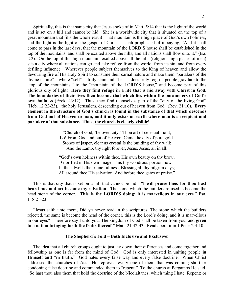Spiritually, this is that same city that Jesus spoke of in Matt. 5:14 that is the light of the world and is set on a hill and cannot be hid. She is a worldwide city that is situated on the top of a great mountain that fills the whole earth! That mountain is the high place of God's own holiness, and the light is the light of the gospel of Christ. Isaiah prophesied of it, saying, "And it shall come to pass in the last days, that the mountain of the LORD'S house shall be established in the top of the mountains, and shall be exalted above the hills; and all nations shall flow unto it." (Isa. 2:2). On the top of this high mountain, exalted above all the hills (religious high places of men) sits a city where all nations can go and take refuge from the world, from its sin, and from every defiling influence. Wherever people subject themselves to the King of heaven and allow the devouring fire of His Holy Spirit to consume their carnal nature and make them "partakers of the divine nature" – where "self" is truly slain and "Jesus" does truly reign – people gravitate to the "top of the mountains," to the "mountain of the LORD'S house," and become part of this glorious city of light! **Here they find refuge in a life that is hid away with Christ in God. The boundaries of their lives then become that which lies within the parameters of God's own holiness** (Ezek. 43:12). Thus, they find themselves part of the "city of the living God" (Heb. 12:22-23), "the holy Jerusalem, descending out of heaven from God" (Rev. 21:10). **Every**

**element in the structure of God's church is found in the substance of that which descends from God out of Heaven to man, and it only exists on earth where man is a recipient and partaker of that substance. Thus, the church is clearly visible!**

> "Church of God, 'beloved city,' Thou art of celestial mold; Lo! From God and out of Heaven, Came the city of pure gold. Stones of jasper, clear as crystal Is the building of thy wall; And the Lamb, thy light forever, Jesus, Jesus, all in all.

> "God's own holiness within thee, His own beauty on thy brow; Glorified in His own image, This thy wondrous portion now. In thee dwells the triune fullness, Blessing all thy pilgrim days; All around thee His salvation, And before thee gates of praise."

 This is that city that is set on a hill that cannot be hid! "**I will praise thee: for thou hast heard me, and art become my salvation**. The stone which the builders refused is become the head stone of the corner. **This is the LORD'S doing; it is marvellous in our eyes**." Psa. 118:21-23.

 "Jesus saith unto them, Did ye never read in the scriptures, The stone which the builders rejected, the same is become the head of the corner, this is the Lord's doing, and it is marvellous in our eyes? Therefore say I unto you, The kingdom of God shall be taken from you, and **given to a nation bringing forth the fruits thereof**." Matt. 21:42-43. Read about it in 1 Peter 2:4-10!

#### **The Shepherd's Fold – Both Inclusive and Exclusive!**

 The idea that all church groups ought to just lay down their differences and come together and fellowship as one is far from the mind of God. God is only interested in uniting people **in Himself and "in truth."** God hates every false way and every false doctrine. When Christ addressed the churches of Asia, He reproved every one of them that was coming short or condoning false doctrine and commanded them to "repent." To the church at Pergamos He said, "So hast thou also them that hold the doctrine of the Nicolaitanes, which thing I hate. Repent; or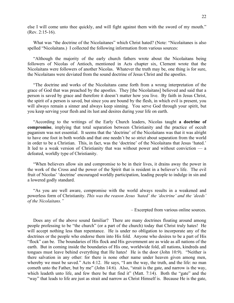else I will come unto thee quickly, and will fight against them with the sword of my mouth." (Rev. 2:15-16).

 What was "the doctrine of the Nicolaitanes" which Christ hated? (Note: "Nicolaitanes is also spelled "Nicolaitans.) I collected the following information from various sources:

 "Although the majority of the early church fathers wrote about the Nicolaitans being followers of Nicolas of Antioch, mentioned in Acts chapter six, Clement wrote that the Nicolaitans were followers of another Nicolas. Whatever the truth may be, one thing is for sure, the Nicolaitans were deviated from the sound doctrine of Jesus Christ and the apostles.

 "The doctrine and works of the Nicolaitans came forth from a wrong interpretation of the grace of God that was preached by the apostles. They [the Nicolaitans] believed and said that a person is saved by grace and therefore it doesn't matter how you live. By faith in Jesus Christ, the spirit of a person is saved, but since you are bound by the flesh, in which evil is present, you will always remain a sinner and always keep sinning. You serve God through your spirit, but you keep serving your flesh and its lust and desires during your life on earth.

 "According to the writings of the Early Church leaders, Nicolas taught **a doctrine of compromise**, implying that total separation between Christianity and the practice of occult paganism was not essential. It seems that the 'doctrine' of the Nicolaitans was that it was alright to have one foot in both worlds and that one needn't be so strict about separation from the world in order to be a Christian. This, in fact, was the 'doctrine' of the Nicolaitans that Jesus 'hated.' It led to a weak version of Christianity that was without power and without conviction — a defeated, worldly type of Christianity.

 "When believers allow sin and compromise to be in their lives, it drains away the power in the work of the Cross and the power of the Spirit that is resident in a believer's life. The evil fruit of Nicolas' 'doctrine' encouraged worldly participation, leading people to indulge in sin and a lowered godly standard.

 "As you are well aware, compromise with the world always results in a weakened and powerless form of Christianity. *This was the reason Jesus 'hated' the 'doctrine' and the 'deeds' of the Nicolaitans."*

– Excerpted from various online sources.

 Does any of the above sound familiar? There are many doctrines floating around among people professing to be "the church" (or a part of the church) today that Christ truly hates! He will accept nothing less than repentance. He is under no obligation to incorporate any of the doctrines or the people who endorse them into His fold. Anyone who desires to be a part of His "flock" can be. The boundaries of His flock and His government are as wide as all nations of the earth. But in coming inside the boundaries of His one, worldwide fold, all nations, kindreds and tongues must leave behind everything that He hates! He is the door (John 10:9). "Neither is there salvation in any other: for there is none other name under heaven given among men, whereby we must be saved." Acts 4:12. He says, "I am the way, the truth, and the life: no man cometh unto the Father, but by me" (John 14:6). Also, "strait is the gate, and narrow is the way, which leadeth unto life, and few there be that find it" (Matt. 7:14). Both the "gate" and the "way" that leads to life are just as strait and narrow as Christ Himself is. Because He is the gate,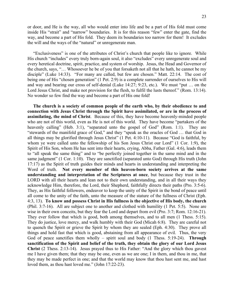or door, and He is the way, all who would enter into life and be a part of His fold must come inside His "strait" and "narrow" boundaries. It is for this reason "few" enter the gate, find the way, and become a part of His fold. They deem its boundaries too narrow for them! It excludes the will and the ways of the "natural" or unregenerate man.

 "Exclusiveness" is one of the attributes of Christ's church that people like to ignore. While His church "includes" every truly born-again soul, it also "excludes" every unregenerate soul and every heretical doctrine, spirit, practice, and system of worship. Jesus, the Head and Governor of the church, says, "… Whosoever he be of you that forsaketh not all that he hath, he cannot be my disciple" (Luke 14:33). "For many are called, but few are chosen." Matt. 22:14. The cost of being one of His "chosen generation" (1 Pet. 2:9) is a complete surrender of ourselves to His will and way and bearing our cross of self-denial (Luke 14:27; 9:23, etc.). We must "put … on the Lord Jesus Christ, and make not provision for the flesh, to fulfil the lusts thereof." (Rom. 13:14). No wonder so few find the way and become a part of His one fold!

 **The church is a society of common people of the earth who, by their obedience to and connection with Jesus Christ through the Spirit have assimilated, or are in the process of assimilating, the mind of Christ**. Because of this, they have become heavenly-minded people who are not of this world, even as He is not of this world. They have become "partakers of the heavenly calling" (Heb. 3:1), "separated unto the gospel of God" (Rom. 1:1). They are "stewards of the manifold grace of God," and they "speak as the oracles of God … that God in all things may be glorified through Jesus Christ" (1 Pet. 4:10-11). Because "God is faithful, by whom ye were called unto the fellowship of his Son Jesus Christ our Lord" (1 Cor. 1:9), the Spirit of His Son, whom He has sent into their hearts, crying, Abba, Father (Gal. 4:6), leads them to "all speak the same thing" and to "be perfectly joined together in the same mind and in the same judgment" (1 Cor. 1:10). They are sanctified (separated unto God) through His truth (John 17:17) as the Spirit of truth guides their minds and hearts in understanding and interpreting the Word of truth. **Not every member of this heaven-born society arrives at the same understanding and interpretation of the Scriptures at once**, but because they trust in the LORD with all their hearts and lean not to their own understanding, and in all their ways they acknowledge Him, therefore, the Lord, their Shepherd, faithfully directs their paths (Pro. 3:5-6). They, as His faithful followers, endeavor to keep the unity of the Spirit in the bond of peace until all come to the unity of the faith, unto the measure of the stature of the fullness of Christ (Eph. 4:3, 13). **To know and possess Christ in His fullness is the objective of His body, the church** (Phil. 3:7-16). All are subject one to another and clothed with humility (1 Pet. 5:5). None are wise in their own conceits, but they fear the Lord and depart from evil (Pro. 3:7; Rom. 12:16-21). They ever follow that which is good, both among themselves, and to all men (1 Thess. 5:15). They do justice, love mercy, and walk humbly with their God (Micah 6:8). They are careful not to quench the Spirit or grieve the Spirit by whom they are sealed (Eph. 4:30). They prove all things and hold fast that which is good, abstaining from all appearance of evil. Thus, the very God of peace sanctifies them wholly – spirit soul and body (1 Thess. 5:19-24). **Through sanctification of the Spirit and belief of the truth, they obtain the glory of our Lord Jesus Christ** (2 Thess. 2:13-14). Jesus prayed thus to His Father: "And the glory which thou gavest me I have given them; that they may be one, even as we are one; I in them, and thou in me, that they may be made perfect in one; and that the world may know that thou hast sent me, and hast loved them, as thou hast loved me." (John 17:22-23).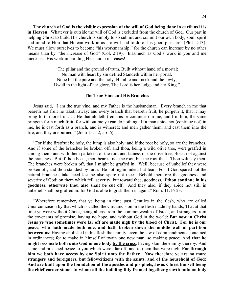**The church of God is the visible expression of the will of God being done in earth as it is in Heaven**. Whatever is outside the will of God is excluded from the church of God. Our part in helping Christ to build His church is simply to so submit and commit our own body, soul, spirit and mind to Him that He can work in us "to will and to do of his good pleasure" (Phil. 2:13). We must allow ourselves to become "his workmanship," for the church can increase by no other means than by "the increase of God" (Col. 2:19). Inasmuch as God's work in you and me increases, His work in building His church increases!

> "The pillar and the ground of truth, Built without hand of a mortal; No man with heart by sin defiled Standeth within her portal. None but the pure and the holy, Humble and meek and the lowly, Dwell in the light of her glory, The Lord is her Judge and her King."

#### **The True Vine and His Branches**

 Jesus said, "I am the true vine, and my Father is the husbandman. Every branch in me that beareth not fruit he taketh away: and every branch that beareth fruit, he purgeth it, that it may bring forth more fruit. … He that abideth (remains or continues) in me, and I in him, the same bringeth forth much fruit: for without me ye can do nothing. If a man abide not (continue not) in me, he is cast forth as a branch, and is withered; and men gather them, and cast them into the fire, and they are burned." (John  $15:1-2$ , 5b  $-6$ ).

 "For if the firstfruit be holy, the lump is also holy: and if the root be holy, so are the branches. And if some of the branches be broken off, and thou, being a wild olive tree, wert graffed in among them, and with them partakest of the root and fatness of the olive tree; Boast not against the branches. But if thou boast, thou bearest not the root, but the root thee. Thou wilt say then, The branches were broken off, that I might be graffed in. Well; because of unbelief they were broken off, and thou standest by faith. Be not highminded, but fear. For if God spared not the natural branches, take heed lest he also spare not thee. Behold therefore the goodness and severity of God: on them which fell, severity; but toward thee, goodness, **if thou continue in his goodness: otherwise thou also shalt be cut off.** And they also, if they abide not still in unbelief, shall be graffed in: for God is able to graff them in again." Rom. 11:16-23.

 "Wherefore remember, that ye being in time past Gentiles in the flesh, who are called Uncircumcision by that which is called the Circumcision in the flesh made by hands; That at that time ye were without Christ, being aliens from the commonwealth of Israel, and strangers from the covenants of promise, having no hope, and without God in the world: **But now in Christ Jesus ye who sometimes were far off are made nigh by the blood of Christ. For he is our peace, who hath made both one, and hath broken down the middle wall of partition between us**; Having abolished in his flesh the enmity, even the law of commandments contained in ordinances; for to make in himself of twain one new man, so making peace; And **that he might reconcile both unto God in one body by the cross**, having slain the enmity thereby: And came and preached peace to you which were afar off, and to them that were nigh. **For through him we both have access by one Spirit unto the Father**. **Now therefore ye are no more strangers and foreigners, but fellowcitizens with the saints, and of the household of God; And are built upon the foundation of the apostles and prophets, Jesus Christ himself being the chief corner stone; In whom all the building fitly framed together growth unto an holy**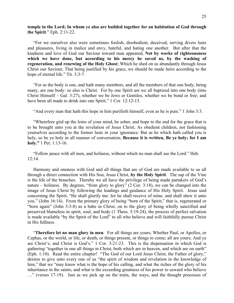#### **temple in the Lord; In whom ye also are builded together for an habitation of God through the Spirit**." Eph. 2:11-22.

 "For we ourselves also were sometimes foolish, disobedient, deceived, serving divers lusts and pleasures, living in malice and envy, hateful, and hating one another. But after that the kindness and love of God our Saviour toward man appeared, **Not by works of righteousness which we have done, but according to his mercy he saved us, by the washing of regeneration, and renewing of the Holy Ghost**; Which he shed on us abundantly through Jesus Christ our Saviour; That being justified by his grace, we should be made heirs according to the hope of eternal life." Tit. 3:3-7.

 "For as the body is one, and hath many members, and all the members of that one body, being many, are one body: so also is Christ. For by one Spirit are we all baptized into one body (into Christ Himself – Gal. 3:27), whether we be Jews or Gentiles, whether we be bond or free; and have been all made to drink into one Spirit." 1 Cor. 12:12-13.

"And every man that hath this hope in him purifieth himself, even as he is pure." 1 John 3:3.

 "Wherefore gird up the loins of your mind, be sober, and hope to the end for the grace that is to be brought unto you at the revelation of Jesus Christ; As obedient children, not fashioning yourselves according to the former lusts in your ignorance: But as he which hath called you is holy, so be ye holy in all manner of conversation; **Because it is written, Be ye holy; for I am holy."** 1 Pet. 1:13-16.

 "Follow peace with all men, and holiness, without which no man shall see the Lord." Heb. 12:14.

 Harmony and oneness with God and all things that are of God are made available to us all through a direct connection with His Son, Jesus Christ, **by the Holy Spirit**. The sap of the Vine is the life of the branches. Thereby we all have the privilege of being made partakers of God's nature – holiness. By degrees, "from glory to glory" (2 Cor. 3:18), we can be changed into the image of Jesus Christ by following the leadings and guidance of His Holy Spirit. Jesus said concerning the Spirit, "He shall glorify me: for he shall receive of mine, and shall shew it unto you." (John 16:14). From the primary glory of being "born of the Spirit," that is, regenerated or "born again" (John 3:3-8) as a babe in Christ, on to the glory of being wholly sanctified and preserved blameless in spirit, soul, and body (1 Thess. 5:19-24), the process of perfect salvation is made available "by the Spirit of the Lord" to all who believe and will faithfully pursue Christ in His fullness.

 "**Therefore let no man glory in men**. For all things are yours; Whether Paul, or Apollos, or Cephas, or the world, or life, or death, or things present, or things to come; all are yours; And ye are Christ's; and Christ is God's." 1 Cor. 3:21-23. This is the dispensation in which God is gathering "together in one all things in Christ, both which are in heaven, and which are on earth" (Eph. 1:10). Read the entire chapter! "The God of our Lord Jesus Christ, the Father of glory," desires to give unto every one of us "the spirit of wisdom and revelation in the knowledge of him," that we "may know what is the hope of his calling, and what the riches of the glory of his inheritance in the saints, and what is the exceeding greatness of his power to usward who believe …" (verses 17-19). Just as we pick up on the traits, the ways, and the thought processes of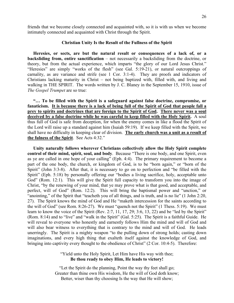#### **Christian Unity Is the Result of the Fullness of the Spirit**

 **Heresies, or sects, are but the natural result or consequences of a lack of, or a backsliding from, entire sanctification** – not necessarily a backsliding from the doctrine, or theory, but from the actual experience, which imparts "the glory of our Lord Jesus Christ." "Heresies" are simply "works of the flesh" (see Gal. 5:19-21), or natural outcroppings of carnality, as are variance and strife (see 1 Cor. 3:1-4). They are proofs and indicators of Christians lacking maturity in Christ – not being baptized with, filled with, and living and walking in THE SPIRIT. The words written by J. C. Blaney in the September 15, 1910, issue of *The Gospel Trumpet* are so true:

 **"… To be filled with the Spirit is a safeguard against false doctrine, compromise, or fanaticism. It is because there is a lack of being full of the Spirit of God that people fall a prey to spirits and doctrines that are foreign to the Spirit of God. There never was a soul deceived by a false doctrine while he was careful to keep filled with the Holy Spirit.** A soul thus full of God is safe from deception, for when the enemy comes in like a flood the Spirit of the Lord will raise up a standard against him (Isaiah 59:19). If we keep filled with the Spirit, we shall have no difficulty in keeping clear of division. **The early church was a unit as a result of the fulness of the Spirit**. See Acts 4:32."

 **Unity naturally follows wherever Christians collectively allow the Holy Spirit complete control of their mind, spirit, soul, and body**. Because "There is one body, and one Spirit, even as ye are called in one hope of your calling" (Eph. 4:4). The primary requirement to become a part of the one body, the church, or kingdom of God, is to be "born again," or "born of the Spirit" (John 3:3-8). After that, it is necessary to go on to perfection and "be filled with the Spirit" (Eph. 5:18) by personally offering our "bodies a living sacrifice, holy, acceptable unto God" (Rom. 12:1). This will give the Spirit full capacity to transform you into the image of Christ, "by the renewing of your mind, that ye may prove what is that good, and acceptable, and perfect, will of God" (Rom. 12:2). This will bring the baptismal power and "unction," or "anointing," of the Spirit that "teacheth you of all things, and is truth, and is no lie" (1 John 2:20, 27). The Spirit knows the mind of God and He "maketh intercession for the saints according to the will of God" (see Rom. 8:26-27). We must "quench not the Spirit" (1 Thess. 5:19). We must learn to know the voice of the Spirit (Rev. 2:7, 11, 17, 29; 3:6, 13, 22) and be "led by the Spirit" (Rom. 8:14) and to "live" and "walk in the Spirit" (Gal. 5:25). The Spirit is a faithful Guide. He will reveal to everyone who honestly and earnestly follows Him the mind and will of God and will also bear witness to everything that is contrary to the mind and will of God. He leads unerringly. The Spirit is a mighty weapon "to the pulling down of strong holds; casting down imaginations, and every high thing that exalteth itself against the knowledge of God, and bringing into captivity every thought to the obedience of Christ" (2 Cor. 10:4-5). Therefore:

> "Yield unto the Holy Spirit, Let Him have His way with thee; **Be thou ready to obey Him, He leads to victory!**

"Let the Spirit do the planning, Point the way thy feet shall go; Greater than thine own His wisdom, He the will of God doth know; Better, wiser than thy choosing Is the way that He will show;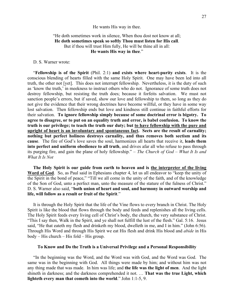#### He wants His way in thee.

#### "He doth sometimes work in silence, When thou dost not know at all; **He doth sometimes speak so softly Thou must listen for His call**. But if thou will trust Him fully, He will be thine all in all: **He wants His way in thee**."

D. S. Warner wrote:

 "**Fellowship is of the Spirit** (Phil. 2:1) **and exists where heart-purity exists**. It is the conscious blending of hearts filled with the same Holy Spirit. One may have been led into all truth, the other not [yet]. This does not interrupt fellowship. Nevertheless, it is the duty of such as 'know the truth,' in meekness to instruct others who do not. Ignorance of some truth does not destroy fellowship, but resisting the truth does; because it forfeits salvation. We must not sanction people's errors, but if saved, show our love and fellowship to them, so long as they do not give the evidence that their wrong doctrines have become willful, or they have in some way lost salvation. Then fellowship ends but love and kindness still continue in faithful efforts for their salvation. **To ignore fellowship simply because of some doctrinal error is bigotry. To agree to disagree, or to put on an equality truth and error, is babel confusion. To know the truth is our privilege; to teach the truth our duty; but to have fellowship with the pure and upright of heart is an involuntary and spontaneous fact. Sects are the result of carnality; nothing but perfect holiness destroys carnality, and thus removes both sectism and its cause**. The fire of God's love saves the soul, harmonizes all hearts that receive it, **leads them into perfect and uniform obedience to all truth**, and drives afar all who refuse to pass through its purging fire, and gain the plane of holy fellowship." – *The Church of God – What It Is and What It Is Not*

 **The Holy Spirit is our guide from earth to heaven and is the interpreter of the living Word of God**. So, as Paul said in Ephesians chapter 4, let us all endeavor to "keep the unity of the Spirit in the bond of peace," "Till we all come in the unity of the faith, and of the knowledge of the Son of God, unto a perfect man, unto the measure of the stature of the fulness of Christ." D. S. Warner also said, "**both union of heart and soul, and harmony in outward worship and life, will follow as a result or fruit of the Spirit**."

 It is through the Holy Spirit that the life of the Vine flows to every branch in Christ. The Holy Spirit is like the blood that flows through the body and feeds and replenishes all the living cells. The Holy Spirit feeds every living cell of Christ's body, the church, the very substance of Christ. "This I say then, Walk in the Spirit, and ye shall not fulfill the lust of the flesh." Gal. 5:16. Jesus said, "He that eateth my flesh and drinketh my blood, dwelleth in me, and I in him." (John 6:56). Through His Word and through His Spirit we eat His flesh and drink His blood and *abide* in His body – His church – His fold – His group.

#### **To Know and Do the Truth is a Universal Privilege and a Personal Responsibility**

 "In the beginning was the Word, and the Word was with God, and the Word was God. The same was in the beginning with God. All things were made by him; and without him was not any thing made that was made. In him was life; and **the life was the light of men**. And the light shineth in darkness; and the darkness comprehended it not. … **That was the true Light, which lighteth every man that cometh into the world**." John 1:1-5, 9.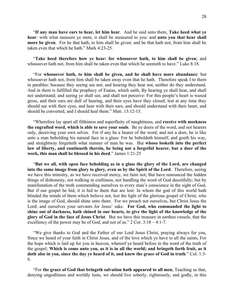"**If any man have ears to hear, let him hear**. And he said unto them, **Take heed what ye hear**: with what measure ye mete, it shall be measured to you: and **unto you that hear shall more be given**. For he that hath, to him shall be given: and he that hath not, from him shall be taken even that which he hath." Mark 4:23-25.

 "**Take heed therefore how ye hear: for whosoever hath, to him shall be given**; and whosoever hath not, from him shall be taken even that which he seemeth to have." Luke 8:18.

 "For **whosoever hath, to him shall be given, and he shall have more abundance**: but whosoever hath not, from him shall be taken away even that he hath. Therefore speak I to them in parables: because they seeing see not; and hearing they hear not, neither do they understand. And in them is fulfilled the prophecy of Esaias, which saith, By hearing ye shall hear, and shall not understand; and seeing ye shall see, and shall not perceive: For this people's heart is waxed gross, and their ears are dull of hearing, and their eyes have they closed; lest at any time they should see with their eyes, and hear with their ears, and should understand with their heart, and should be converted, and I should heal them." Matt. 13:12-15.

 "Wherefore lay apart all filthiness and superfluity of naughtiness, and **receive with meekness the engrafted word, which is able to save your souls**. Be ye doers of the word, and not hearers only, deceiving your own selves. For if any be a hearer of the word, and not a doer, he is like unto a man beholding his natural face in a glass: For he beholdeth himself, and goeth his way, and straightway forgetteth what manner of man he was. But **whoso looketh into the perfect law of liberty, and continueth therein, he being not a forgetful hearer, but a doer of the work, this man shall be blessed in his deed**." James 1:21-25

 "**But we all, with open face beholding as in a glass the glory of the Lord, are changed into the same image from glory to glory, even as by the Spirit of the Lord**. Therefore, seeing we have this ministry, as we have received mercy, we faint not; But have renounced the hidden things of dishonesty, not walking in craftiness, nor handling the word of God deceitfully; but by manifestation of the truth commending ourselves to every man's conscience in the sight of God. But if our gospel be hid, it is hid to them that are lost: In whom the god of this world hath blinded the minds of them which believe not, lest the light of the glorious gospel of Christ, who is the image of God, should shine unto them. For we preach not ourselves, but Christ Jesus the Lord; and ourselves your servants for Jesus' sake. **For God, who commanded the light to shine out of darkness, hath shined in our hearts, to give the light of the knowledge of the glory of God in the face of Jesus Christ**. But we have this treasure in earthen vessels, that the excellency of the power may be of God, and not of us." 2 Cor. 3:18 – 4:1-7.

 "We give thanks to God and the Father of our Lord Jesus Christ, praying always for you, Since we heard of your faith in Christ Jesus, and of the love which ye have to all the saints, For the hope which is laid up for you in heaven, whereof ye heard before in the word of the truth of the gospel; **Which is come unto you, as it is in all the world; and bringeth forth fruit, as it doth also in you, since the day ye heard of it, and knew the grace of God in truth**." Col. 1:3- 6.

 "For **the grace of God that bringeth salvation hath appeared to all men**, Teaching us that, denying ungodliness and worldly lusts, we should live soberly, righteously, and godly, in this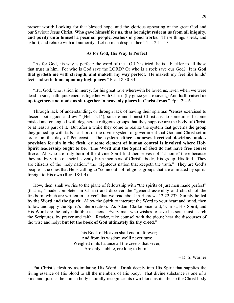present world; Looking for that blessed hope, and the glorious appearing of the great God and our Saviour Jesus Christ; **Who gave himself for us, that he might redeem us from all iniquity, and purify unto himself a peculiar people, zealous of good works**. These things speak, and exhort, and rebuke with all authority. Let no man despise thee." Tit. 2:11-15.

#### **As for God, His Way Is Perfect**

 "As for God, his way is perfect: the word of the LORD is tried: he is a buckler to all those that trust in him. For who is God save the LORD? Or who is a rock save our God? **It is God that girdeth me with strength, and maketh my way perfect**. He maketh my feet like hinds' feet, and **setteth me upon my high places**." Psa. 18:30-33.

 "But God, who is rich in mercy, for his great love wherewith he loved us, Even when we were dead in sins, hath quickened us together with Christ, (by grace ye are saved;) And **hath raised us up together, and made us sit together in heavenly places in Christ Jesus**." Eph. 2:4-6.

 Through lack of understanding, or through lack of having their spiritual "senses exercised to discern both good and evil" (Heb. 5:14), sincere and honest Christians do sometimes become misled and entangled with degenerate religious groups that they suppose are the body of Christ, or at least a part of it. But after a while they come to realize the system that governs the group they joined up with falls far short of the divine system of government that God and Christ set in order on the day of Pentecost. **The system either endorses heretical doctrine, makes provision for sin in the flesh, or some element of human control is involved where Holy Spirit leadership ought to be**. **The Word and the Spirit of God do not have free course there**. All who are truly born of the divine Spirit find themselves not "at home" there because they are by virtue of their heavenly birth members of Christ's body, His group, His fold. They are citizens of the "holy nation," the "righteous nation that keepeth the truth." They are God's people – the ones that He is calling to "come out" of religious groups that are animated by spirits foreign to His own (Rev. 18:1-4).

 How, then, shall we rise to the plane of fellowship with "the spirits of just men made perfect" (that is, "made complete" in Christ) and discover the "general assembly and church of the firstborn, which are written in heaven" that we read about in Hebrews 12:22-23? Simply **be led by the Word and the Spirit**. Allow the Spirit to interpret the Word to your heart and mind, then follow and apply the Spirit's interpretation. As Adam Clarke once said, "Christ, His Spirit, and His Word are the only infallible teachers. Every man who wishes to save his soul must search the Scriptures, by prayer and faith. Reader, take counsel with the pious; hear the discourses of the wise and holy: **but let the book of God ultimately fix thy creed**."

> "This Book of Heaven shall endure forever; And from its wisdom we'll never turn; Weighed in its balance all the creeds that sever, Are only stubble, ere long to burn."

> > – D. S. Warner

 Eat Christ's flesh by assimilating His Word. Drink deeply into His Spirit that supplies the living essence of His blood to all the members of His body. That divine substance is one of a kind and, just as the human body naturally recognizes its own blood as its life, so the Christ body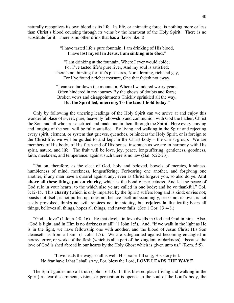naturally recognizes its own blood as its life. Its life, or animating force, is nothing more or less than Christ's blood coursing through its veins by the heartbeat of the Holy Spirit! There is no substitute for it. There is no other drink that has a flavor like it!

#### "I have tasted life's pure fountain, I am drinking of His blood, I have **lost myself in Jesus, I am sinking into God**."

"I am drinking at the fountain, Where I ever would abide; For I've tasted life's pure river, And my soul is satisfied; There's no thirsting for life's pleasures, Nor adorning, rich and gay, For I've found a richer treasure, One that fadeth not away.

"I can see far down the mountain, Where I wandered weary years, Often hindered in my journey By the ghosts of doubts and fears; Broken vows and disappointments Thickly sprinkled all the way, But **the Spirit led, unerring, To the land I hold today**."

 Only by following the unerring leadings of the Holy Spirit can we arrive at and enjoy this wonderful place of sweet, pure, heavenly fellowship and communion with God the Father, Christ the Son, and all who are sanctified and made one in them through the Spirit. Here every craving and longing of the soul will be fully satisfied. By living and walking in the Spirit and rejecting every spirit, element, or system that grieves, quenches, or hinders the Holy Spirit, or is foreign to the Christ-life, we will be guided to and kept in the Christ-body – the Christ-group. We are members of His body, of His flesh and of His bones, insomuch as we are in harmony with His spirit, nature, and life. The fruit will be love, joy, peace, longsuffering, gentleness, goodness, faith, meekness, and temperance: against such there is no law (Gal. 5:22-23).

 "Put on, therefore, as the elect of God, holy and beloved, bowels of mercies, kindness, humbleness of mind, meekness, longsuffering; Forbearing one another, and forgiving one another, if any man have a quarrel against any; even as Christ forgave you, so also do ye. **And above all these things put on charity**, which is the bond of perfectness. And let the peace of God rule in your hearts, to the which also ye are called in one body; and be ye thankful." Col. 3:12-15. This **charity** (which is only imparted by the Spirit) suffers long and is kind; envies not; boasts not itself, is not puffed up, does not behave itself unbecomingly, seeks not its own, is not easily provoked, thinks no evil; rejoices not in iniquity, but **rejoices in the truth**; bears all things, believes all things, hopes all things, and **never fails**. (See 1 Cor. 13:4-8.)

 "God is love" (1 John 4:8, 16). He that dwells in love dwells in God and God in him. Also, "God is light, and in Him is no darkness at all" (1 John 1:5). And, "if we walk in the light as He is in the light, we have fellowship one with another, and the blood of Jesus Christ His Son cleanseth us from all sin" (1 John 1:7). We are safeguarded against becoming entangled in heresy, error, or works of the flesh (which is all a part of the kingdom of darkness), "because the love of God is shed abroad in our hearts by the Holy Ghost which is given unto us." (Rom. 5:5).

"Love leads the way, so all is well. His praise I'll sing, His story tell. No fear have I that I shall stray, For, bless the Lord, **LOVE LEADS THE WAY!**"

 The Spirit guides into all truth (John 16:13). In this blessed place (living and walking in the Spirit) a clear discernment, vision, or perception is opened to the soul of the Lord's body, the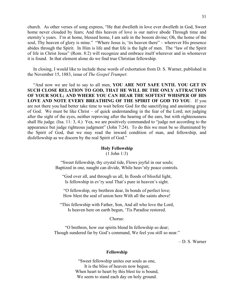church. As other verses of song express, "He that dwelleth in love ever dwelleth in God, Sweet home never clouded by fears; And this heaven of love is our native abode Through time and eternity's years. I'm at home, blessed home, I am safe in the bosom divine; Oh, the home of the soul, Thy heaven of glory is mine." "Where Jesus is, 'tis heaven there" – wherever His presence abides through the Spirit. In Him is life and that life is the light of men. The "law of the Spirit of life in Christ Jesus" (Rom. 8:2) will recognize and embrace itself wherever and in whomever it is found. In that element alone do we find true Christian fellowship.

 In closing, I would like to include these words of exhortation from D. S. Warner, published in the November 15, 1883, issue of *The Gospel Trumpet*:

 "And now we are led to say to all men, **YOU ARE NOT SAFE UNTIL YOU GET IN SUCH CLOSE RELATION TO GOD, THAT HE WILL BE THE ONLY ATTRACTION OF YOUR SOUL; AND WHERE YOU CAN HEAR THE SOFTEST WHISPER OF HIS LOVE AND NOTE EVERY BREATHING OF THE SPIRIT OF GOD TO YOU**. If you are not there you had better take time to wait before God for the sanctifying and anointing grace of God. We must be like Christ – of quick understanding in the fear of the Lord; not judging after the sight of the eyes, neither reproving after the hearing of the ears, but with righteousness shall He judge. (Isa. 11: 3, 4.) Yea, we are positively commanded to "judge not according to the appearance but judge righteous judgment" (John 7:24). To do this we must be so illuminated by the Spirit of God, that we may read the inward condition of man, and fellowship, and disfellowship as we discern by the real Spirit of God."

#### **Holy Fellowship**

(1 John 1:3)

"Sweet fellowship, thy crystal tide, Flows joyful in our souls; Baptized in one, naught can divide, While heav'nly peace controls.

"God over all, and through us all, In floods of blissful light, Is fellowship in ev'ry soul That's pure in heaven's sight.

"O fellowship, my brethren dear, In bonds of perfect love; How blest the seal of union here With all the saints above!

"This fellowship with Father, Son, And all who love the Lord, Is heaven here on earth begun, 'Tis Paradise restored.

Chorus:

"O brethren, how our spirits blend In fellowship so dear; Though sundered far by God's command, We feel you still so near."

– D. S. Warner

#### **Fellowship**

"Sweet fellowship unites our souls as one, It is the bliss of heaven now begun; When heart to heart by this blest tie is bound, We seem to stand each day on holy ground.